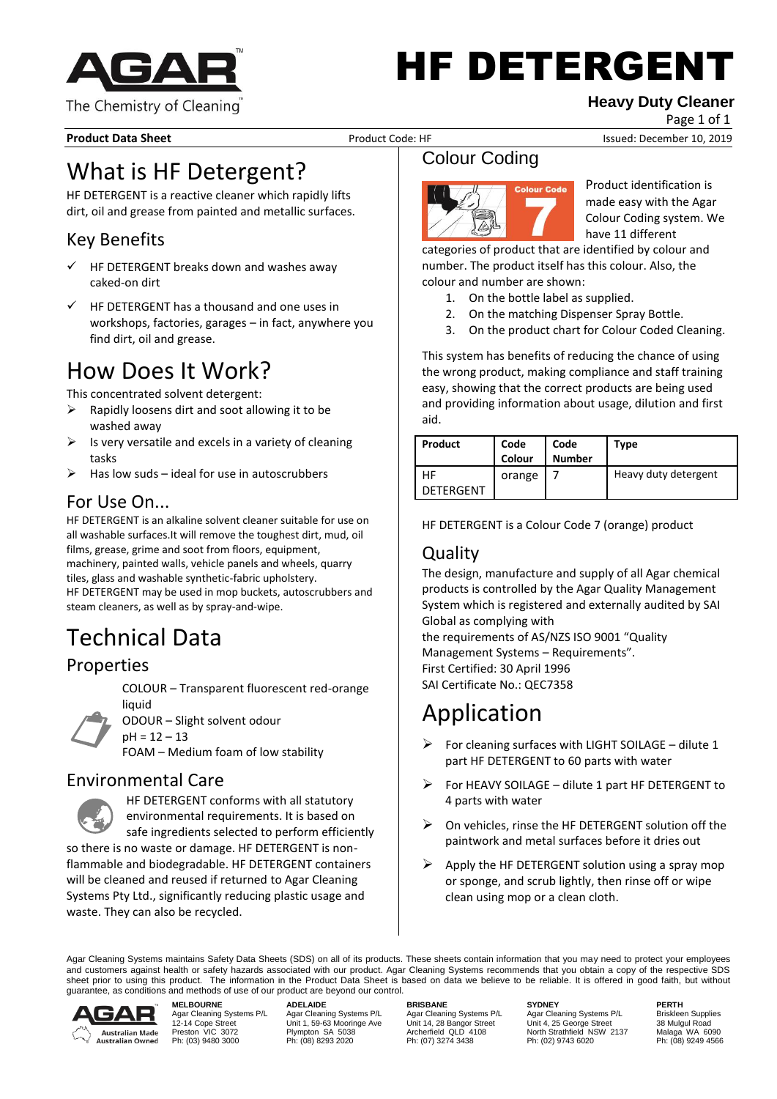

# HF DETERGENT

#### **Heavy Duty Cleaner**

Page 1 of 1

**Product Data Sheet** Product Code: HF Issued: December 10, 2019

## What is HF Detergent?

HF DETERGENT is a reactive cleaner which rapidly lifts dirt, oil and grease from painted and metallic surfaces.

## Key Benefits

- HF DETERGENT breaks down and washes away caked-on dirt
- HF DETERGENT has a thousand and one uses in workshops, factories, garages – in fact, anywhere you find dirt, oil and grease.

## How Does It Work?

This concentrated solvent detergent:

- $\triangleright$  Rapidly loosens dirt and soot allowing it to be washed away
- Is very versatile and excels in a variety of cleaning tasks
- Has low suds ideal for use in autoscrubbers

## For Use On...

HF DETERGENT is an alkaline solvent cleaner suitable for use on all washable surfaces.It will remove the toughest dirt, mud, oil films, grease, grime and soot from floors, equipment, machinery, painted walls, vehicle panels and wheels, quarry tiles, glass and washable synthetic-fabric upholstery. HF DETERGENT may be used in mop buckets, autoscrubbers and steam cleaners, as well as by spray-and-wipe.

## Technical Data

#### Properties

COLOUR – Transparent fluorescent red-orange liquid

 $\mathcal{L}$ 

ODOUR – Slight solvent odour  $pH = 12 - 13$ 

FOAM – Medium foam of low stability

#### Environmental Care



HF DETERGENT conforms with all statutory environmental requirements. It is based on safe ingredients selected to perform efficiently

so there is no waste or damage. HF DETERGENT is nonflammable and biodegradable. HF DETERGENT containers will be cleaned and reused if returned to Agar Cleaning Systems Pty Ltd., significantly reducing plastic usage and waste. They can also be recycled.

## Colour Coding



Product identification is made easy with the Agar Colour Coding system. We have 11 different

categories of product that are identified by colour and number. The product itself has this colour. Also, the colour and number are shown:

- 1. On the bottle label as supplied.
- 2. On the matching Dispenser Spray Bottle.
- 3. On the product chart for Colour Coded Cleaning.

This system has benefits of reducing the chance of using the wrong product, making compliance and staff training easy, showing that the correct products are being used and providing information about usage, dilution and first aid.

| Product         | Code<br>Colour | Code<br><b>Number</b> | Type                 |
|-----------------|----------------|-----------------------|----------------------|
| НF<br>DETERGENT | orange         |                       | Heavy duty detergent |

HF DETERGENT is a Colour Code 7 (orange) product

### **Quality**

The design, manufacture and supply of all Agar chemical products is controlled by the Agar Quality Management System which is registered and externally audited by SAI Global as complying with

the requirements of AS/NZS ISO 9001 "Quality Management Systems – Requirements". First Certified: 30 April 1996 SAI Certificate No.: QEC7358

## Application

- $\triangleright$  For cleaning surfaces with LIGHT SOILAGE dilute 1 part HF DETERGENT to 60 parts with water
- ➢ For HEAVY SOILAGE dilute 1 part HF DETERGENT to 4 parts with water
- $\triangleright$  On vehicles, rinse the HF DETERGENT solution off the paintwork and metal surfaces before it dries out
- $\triangleright$  Apply the HF DETERGENT solution using a spray mop or sponge, and scrub lightly, then rinse off or wipe clean using mop or a clean cloth.

Agar Cleaning Systems maintains Safety Data Sheets (SDS) on all of its products. These sheets contain information that you may need to protect your employees and customers against health or safety hazards associated with our product. Agar Cleaning Systems recommends that you obtain a copy of the respective SDS sheet prior to using this product. The information in the Product Data Sheet is based on data we believe to be reliable. It is offered in good faith, but without guarantee, as conditions and methods of use of our product are beyond our control.



**MELBOURNE ADELAIDE BRISBANE SYDNEY PERTH**

Agar Cleaning Systems P/L Agar Cleaning Systems P/L Agar Cleaning Systems P/L Agar Cleaning Systems P/L Briskleen Supplies<br>12-14 Cope Street Unit 1, 59-63 Mooringe Ave Unit 14, 28 Bangor Street Unit 4, 25 Preston VIC 3072 Plympton SA 5038 Archerfield QLD 4108 North Strathfield NSW 2137 Malaga WA 6090 Ph: (03) 9480 3000 Ph: (08) 8293 2020 Ph: (07) 3274 3438 Ph: (02) 9743 6020 Ph: (08) 9249 4566